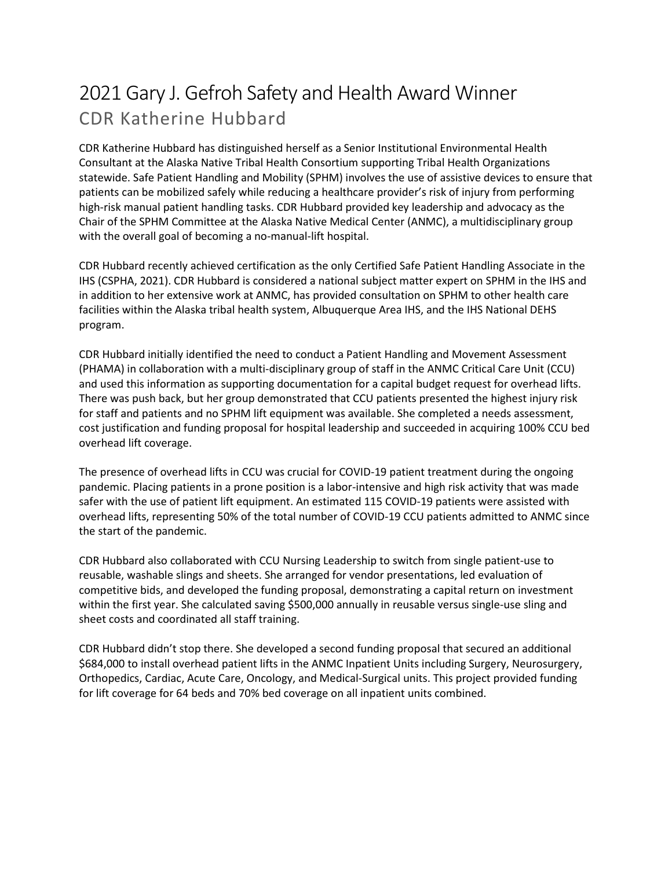## 2021 Gary J. Gefroh Safety and Health Award Winner CDR Katherine Hubbard

CDR Katherine Hubbard has distinguished herself as a Senior Institutional Environmental Health Consultant at the Alaska Native Tribal Health Consortium supporting Tribal Health Organizations statewide. Safe Patient Handling and Mobility (SPHM) involves the use of assistive devices to ensure that patients can be mobilized safely while reducing a healthcare provider's risk of injury from performing high-risk manual patient handling tasks. CDR Hubbard provided key leadership and advocacy as the Chair of the SPHM Committee at the Alaska Native Medical Center (ANMC), a multidisciplinary group with the overall goal of becoming a no-manual-lift hospital.

CDR Hubbard recently achieved certification as the only Certified Safe Patient Handling Associate in the IHS (CSPHA, 2021). CDR Hubbard is considered a national subject matter expert on SPHM in the IHS and in addition to her extensive work at ANMC, has provided consultation on SPHM to other health care facilities within the Alaska tribal health system, Albuquerque Area IHS, and the IHS National DEHS program.

CDR Hubbard initially identified the need to conduct a Patient Handling and Movement Assessment (PHAMA) in collaboration with a multi-disciplinary group of staff in the ANMC Critical Care Unit (CCU) and used this information as supporting documentation for a capital budget request for overhead lifts. There was push back, but her group demonstrated that CCU patients presented the highest injury risk for staff and patients and no SPHM lift equipment was available. She completed a needs assessment, cost justification and funding proposal for hospital leadership and succeeded in acquiring 100% CCU bed overhead lift coverage.

The presence of overhead lifts in CCU was crucial for COVID-19 patient treatment during the ongoing pandemic. Placing patients in a prone position is a labor-intensive and high risk activity that was made safer with the use of patient lift equipment. An estimated 115 COVID-19 patients were assisted with overhead lifts, representing 50% of the total number of COVID-19 CCU patients admitted to ANMC since the start of the pandemic.

CDR Hubbard also collaborated with CCU Nursing Leadership to switch from single patient-use to reusable, washable slings and sheets. She arranged for vendor presentations, led evaluation of competitive bids, and developed the funding proposal, demonstrating a capital return on investment within the first year. She calculated saving \$500,000 annually in reusable versus single-use sling and sheet costs and coordinated all staff training.

CDR Hubbard didn't stop there. She developed a second funding proposal that secured an additional \$684,000 to install overhead patient lifts in the ANMC Inpatient Units including Surgery, Neurosurgery, Orthopedics, Cardiac, Acute Care, Oncology, and Medical-Surgical units. This project provided funding for lift coverage for 64 beds and 70% bed coverage on all inpatient units combined.